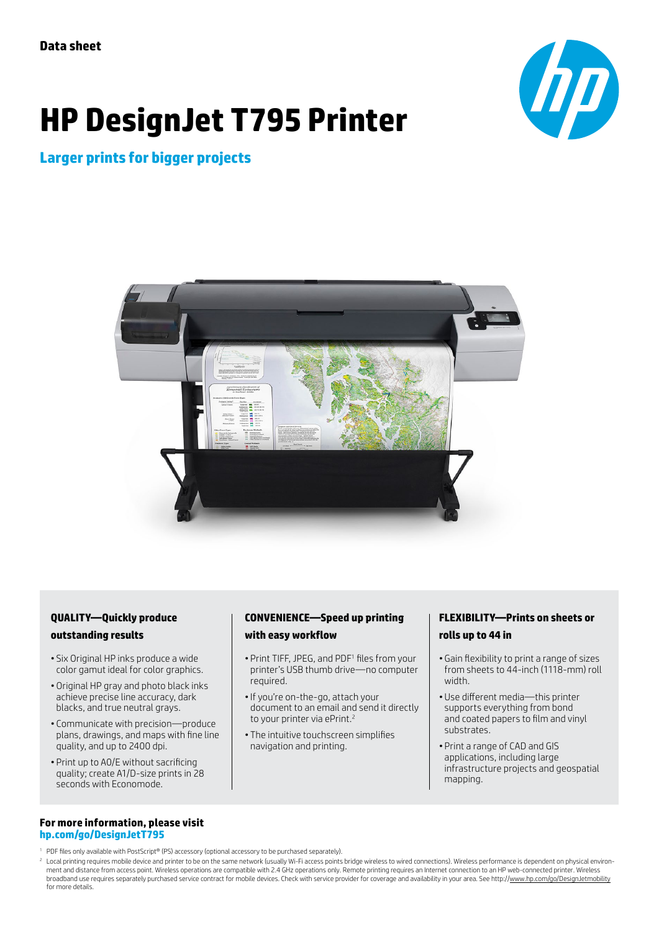# **HP DesignJet T795 Printer**



# **Larger prints for bigger projects**



#### **QUALITY—Quickly produce outstanding results**

- Six Original HP inks produce a wide color gamut ideal for color graphics.
- Original HP gray and photo black inks achieve precise line accuracy, dark blacks, and true neutral grays.
- Communicate with precision—produce plans, drawings, and maps with fine line quality, and up to 2400 dpi.
- Print up to A0/E without sacrificing quality; create A1/D-size prints in 28 seconds with Economode.

#### **For more information, please visit [hp.com/go/DesignJetT795](www.hp.com/go/DesignjetT795)**

#### <sup>1</sup> PDF files only available with PostScript® (PS) accessory (optional accessory to be purchased separately).

<sup>2</sup> Local printing requires mobile device and printer to be on the same network (usually Wi-Fi access points bridge wireless to wired connections). Wireless performance is dependent on physical environment and distance from access point. Wireless operations are compatible with 2.4 GHz operations only. Remote printing requires an Internet connection to an HP web-connected printer. Wireless broadband use requires separately purchased service contract for mobile devices. Check with service provider for coverage and availability in your area. See http://[www.hp.com/go/DesignJetmobility](http://www.hp.com/go/DesignJetmobility) for more details.

#### **CONVENIENCE—Speed up printing with easy workflow**

- Print TIFF, JPEG, and PDF<sup>1</sup> files from your printer's USB thumb drive—no computer required.
- •If you're on-the-go, attach your document to an email and send it directly to your printer via ePrint.<sup>2</sup>
- The intuitive touchscreen simplifies navigation and printing.

### **FLEXIBILITY—Prints on sheets or rolls up to 44 in**

- Gain flexibility to print a range of sizes from sheets to 44-inch (1118-mm) roll width.
- Use different media—this printer supports everything from bond and coated papers to film and vinyl substrates.
- Print a range of CAD and GIS applications, including large infrastructure projects and geospatial mapping.